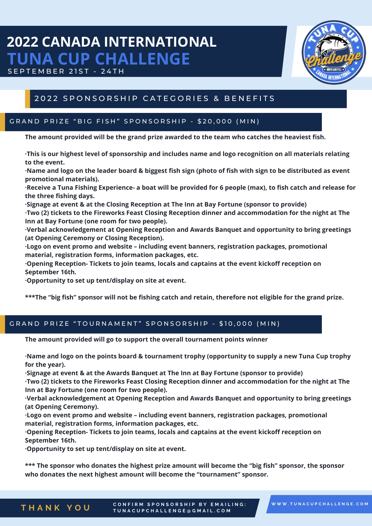# **2022 CANADA INTERNATIONAL TUNA CUP CHALLENGE**





## 2022 SPONSORSHIP CATEGORIES & BENEFITS

#### GRAND PRIZE "BIG FISH" SPONSORSHIP - \$20,000 (MIN)

**The amount provided will be the grand prize awarded to the team who catches the heaviest fish.**

This is our highest level of sponsorship and includes name and logo recognition on all materials relating **to the event.**

·Name and logo on the leader board & biggest fish sign (photo of fish with sign to be distributed as event **promotional materials).**

·Receive a Tuna Fishing Experience- a boat will be provided for 6 people (max), to fish catch and release for **the three fishing days.**

**·Signage at event & at the Closing Reception at The Inn at Bay Fortune (sponsor to provide) ·Two (2) tickets to the Fireworks Feast Closing Reception dinner and accommodation for the night at The Inn at Bay Fortune (one room for two people).**

**·Verbal acknowledgement at Opening Reception and Awards Banquet and opportunity to bring greetings (at Opening Ceremony or Closing Reception).**

**·Logo on event promo and website – including event banners, registration packages, promotional material, registration forms, information packages, etc.**

**·Opening Reception- Tickets to join teams, locals and captains at the event kickoff reception on September 16th.**

**·Opportunity to set up tent/display on site at event.**

\*\*\*The "big fish" sponsor will not be fishing catch and retain, therefore not eligible for the grand prize.

#### GRAND PRIZE "TOURNAMENT" SPONSORSHIP - \$10,000 (MIN)

**The amount provided will go to support the overall tournament points winner**

·Name and logo on the points board & tournament trophy (opportunity to supply a new Tuna Cup trophy **for the year).**

**·Signage at event & at the Awards Banquet at The Inn at Bay Fortune (sponsor to provide)**

**·Two (2) tickets to the Fireworks Feast Closing Reception dinner and accommodation for the night at The Inn at Bay Fortune (one room for two people).**

**·Verbal acknowledgement at Opening Reception and Awards Banquet and opportunity to bring greetings (at Opening Ceremony).**

**·Logo on event promo and website – including event banners, registration packages, promotional material, registration forms, information packages, etc.**

**·Opening Reception- Tickets to join teams, locals and captains at the event kickoff reception on September 16th.**

**·Opportunity to set up tent/display on site at event.**

**\*\*\* The sponsor who donates the highest prize amount will become the "big fish" sponsor, the sponsor who donates the next highest amount will become the "tournament" sponsor.**

**T H A N K Y O U** CONFIRM SPONSORSHIP BY EMAILING: TUNACUPCHALLENGE@GMAIL.COM